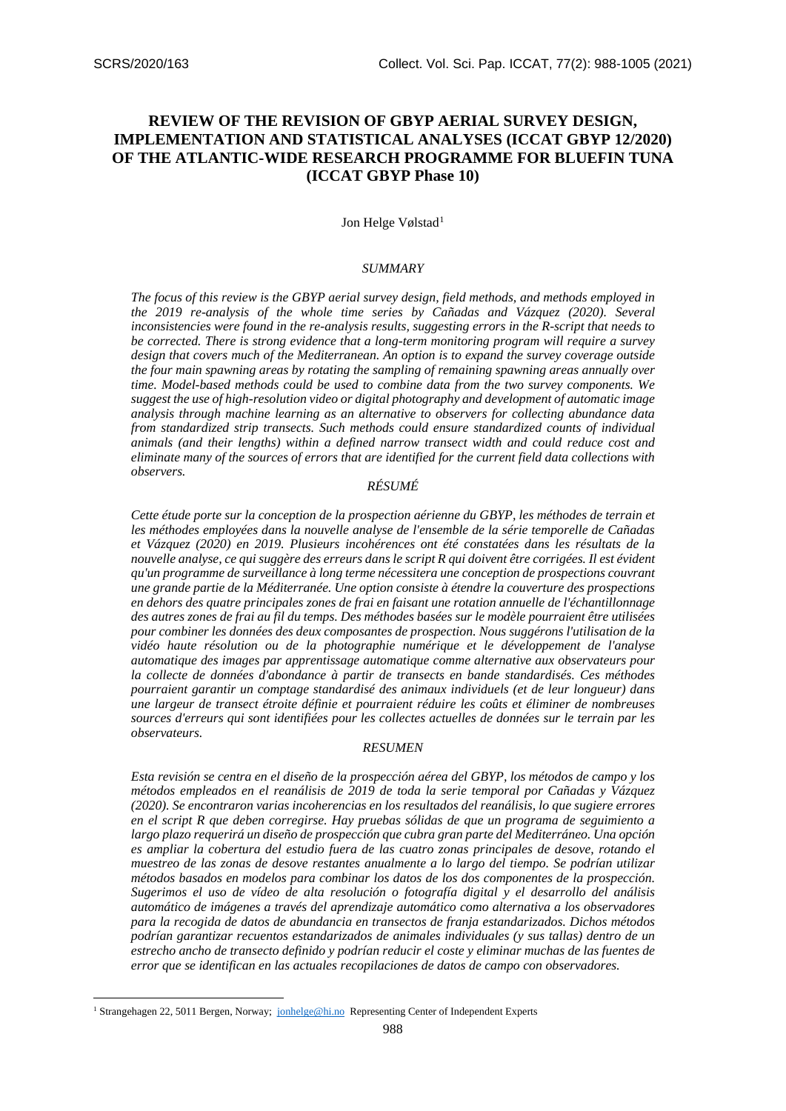# **REVIEW OF THE REVISION OF GBYP AERIAL SURVEY DESIGN, IMPLEMENTATION AND STATISTICAL ANALYSES (ICCAT GBYP 12/2020) OF THE ATLANTIC-WIDE RESEARCH PROGRAMME FOR BLUEFIN TUNA (ICCAT GBYP Phase 10)**

# Jon Helge Vølstad<sup>[1](#page-0-0)</sup>

# *SUMMARY*

*The focus of this review is the GBYP aerial survey design, field methods, and methods employed in the 2019 re-analysis of the whole time series by Cañadas and Vázquez (2020). Several inconsistencies were found in the re-analysis results, suggesting errors in the R-script that needs to be corrected. There is strong evidence that a long-term monitoring program will require a survey design that covers much of the Mediterranean. An option is to expand the survey coverage outside the four main spawning areas by rotating the sampling of remaining spawning areas annually over time. Model-based methods could be used to combine data from the two survey components. We suggest the use of high-resolution video or digital photography and development of automatic image analysis through machine learning as an alternative to observers for collecting abundance data from standardized strip transects. Such methods could ensure standardized counts of individual animals (and their lengths) within a defined narrow transect width and could reduce cost and eliminate many of the sources of errors that are identified for the current field data collections with observers.*

### *RÉSUMÉ*

*Cette étude porte sur la conception de la prospection aérienne du GBYP, les méthodes de terrain et les méthodes employées dans la nouvelle analyse de l'ensemble de la série temporelle de Cañadas et Vázquez (2020) en 2019. Plusieurs incohérences ont été constatées dans les résultats de la nouvelle analyse, ce qui suggère des erreurs dans le script R qui doivent être corrigées. Il est évident qu'un programme de surveillance à long terme nécessitera une conception de prospections couvrant une grande partie de la Méditerranée. Une option consiste à étendre la couverture des prospections en dehors des quatre principales zones de frai en faisant une rotation annuelle de l'échantillonnage des autres zones de frai au fil du temps. Des méthodes basées sur le modèle pourraient être utilisées pour combiner les données des deux composantes de prospection. Nous suggérons l'utilisation de la vidéo haute résolution ou de la photographie numérique et le développement de l'analyse automatique des images par apprentissage automatique comme alternative aux observateurs pour la collecte de données d'abondance à partir de transects en bande standardisés. Ces méthodes pourraient garantir un comptage standardisé des animaux individuels (et de leur longueur) dans une largeur de transect étroite définie et pourraient réduire les coûts et éliminer de nombreuses sources d'erreurs qui sont identifiées pour les collectes actuelles de données sur le terrain par les observateurs.*

#### *RESUMEN*

*Esta revisión se centra en el diseño de la prospección aérea del GBYP, los métodos de campo y los métodos empleados en el reanálisis de 2019 de toda la serie temporal por Cañadas y Vázquez (2020). Se encontraron varias incoherencias en los resultados del reanálisis, lo que sugiere errores en el script R que deben corregirse. Hay pruebas sólidas de que un programa de seguimiento a largo plazo requerirá un diseño de prospección que cubra gran parte del Mediterráneo. Una opción*  es ampliar la cobertura del estudio fuera de las cuatro zonas principales de desove, rotando el *muestreo de las zonas de desove restantes anualmente a lo largo del tiempo. Se podrían utilizar métodos basados en modelos para combinar los datos de los dos componentes de la prospección. Sugerimos el uso de vídeo de alta resolución o fotografía digital y el desarrollo del análisis automático de imágenes a través del aprendizaje automático como alternativa a los observadores para la recogida de datos de abundancia en transectos de franja estandarizados. Dichos métodos podrían garantizar recuentos estandarizados de animales individuales (y sus tallas) dentro de un estrecho ancho de transecto definido y podrían reducir el coste y eliminar muchas de las fuentes de error que se identifican en las actuales recopilaciones de datos de campo con observadores.*

<span id="page-0-0"></span><sup>&</sup>lt;sup>1</sup> Strangehagen 22, 5011 Bergen, Norway; [jonhelge@hi.no](mailto:jonhelge@hi.no) Representing Center of Independent Experts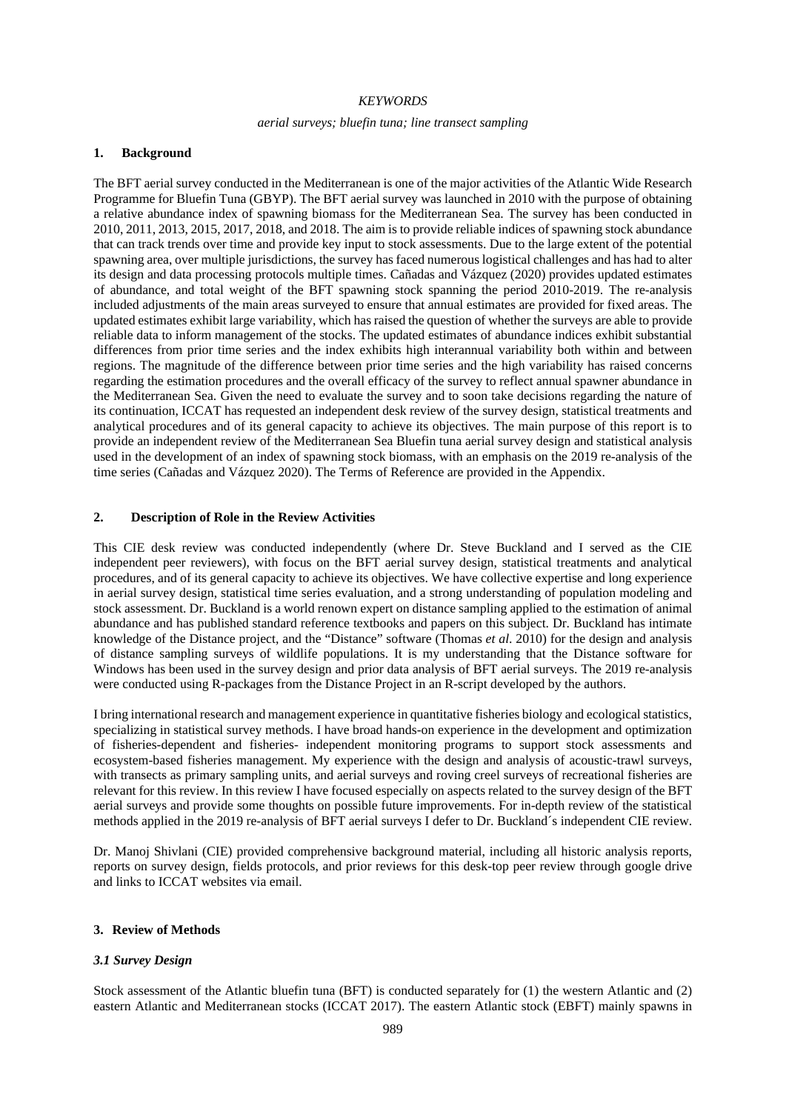### *KEYWORDS*

### *aerial surveys; bluefin tuna; line transect sampling*

# **1. Background**

The BFT aerial survey conducted in the Mediterranean is one of the major activities of the Atlantic Wide Research Programme for Bluefin Tuna (GBYP). The BFT aerial survey was launched in 2010 with the purpose of obtaining a relative abundance index of spawning biomass for the Mediterranean Sea. The survey has been conducted in 2010, 2011, 2013, 2015, 2017, 2018, and 2018. The aim is to provide reliable indices of spawning stock abundance that can track trends over time and provide key input to stock assessments. Due to the large extent of the potential spawning area, over multiple jurisdictions, the survey has faced numerous logistical challenges and has had to alter its design and data processing protocols multiple times. Cañadas and Vázquez (2020) provides updated estimates of abundance, and total weight of the BFT spawning stock spanning the period 2010-2019. The re-analysis included adjustments of the main areas surveyed to ensure that annual estimates are provided for fixed areas. The updated estimates exhibit large variability, which has raised the question of whether the surveys are able to provide reliable data to inform management of the stocks. The updated estimates of abundance indices exhibit substantial differences from prior time series and the index exhibits high interannual variability both within and between regions. The magnitude of the difference between prior time series and the high variability has raised concerns regarding the estimation procedures and the overall efficacy of the survey to reflect annual spawner abundance in the Mediterranean Sea. Given the need to evaluate the survey and to soon take decisions regarding the nature of its continuation, ICCAT has requested an independent desk review of the survey design, statistical treatments and analytical procedures and of its general capacity to achieve its objectives. The main purpose of this report is to provide an independent review of the Mediterranean Sea Bluefin tuna aerial survey design and statistical analysis used in the development of an index of spawning stock biomass, with an emphasis on the 2019 re-analysis of the time series (Cañadas and Vázquez 2020). The Terms of Reference are provided in the Appendix.

### **2. Description of Role in the Review Activities**

This CIE desk review was conducted independently (where Dr. Steve Buckland and I served as the CIE independent peer reviewers), with focus on the BFT aerial survey design, statistical treatments and analytical procedures, and of its general capacity to achieve its objectives. We have collective expertise and long experience in aerial survey design, statistical time series evaluation, and a strong understanding of population modeling and stock assessment. Dr. Buckland is a world renown expert on distance sampling applied to the estimation of animal abundance and has published standard reference textbooks and papers on this subject. Dr. Buckland has intimate knowledge of the Distance project, and the "Distance" software (Thomas *et al*. 2010) for the design and analysis of distance sampling surveys of wildlife populations. It is my understanding that the Distance software for Windows has been used in the survey design and prior data analysis of BFT aerial surveys. The 2019 re-analysis were conducted using R-packages from the Distance Project in an R-script developed by the authors.

I bring international research and management experience in quantitative fisheries biology and ecological statistics, specializing in statistical survey methods. I have broad hands-on experience in the development and optimization of fisheries-dependent and fisheries- independent monitoring programs to support stock assessments and ecosystem-based fisheries management. My experience with the design and analysis of acoustic-trawl surveys, with transects as primary sampling units, and aerial surveys and roving creel surveys of recreational fisheries are relevant for this review. In this review I have focused especially on aspects related to the survey design of the BFT aerial surveys and provide some thoughts on possible future improvements. For in-depth review of the statistical methods applied in the 2019 re-analysis of BFT aerial surveys I defer to Dr. Buckland´s independent CIE review.

Dr. Manoj Shivlani (CIE) provided comprehensive background material, including all historic analysis reports, reports on survey design, fields protocols, and prior reviews for this desk-top peer review through google drive and links to ICCAT websites via email.

#### **3. Review of Methods**

### *3.1 Survey Design*

Stock assessment of the Atlantic bluefin tuna (BFT) is conducted separately for (1) the western Atlantic and (2) eastern Atlantic and Mediterranean stocks (ICCAT 2017). The eastern Atlantic stock (EBFT) mainly spawns in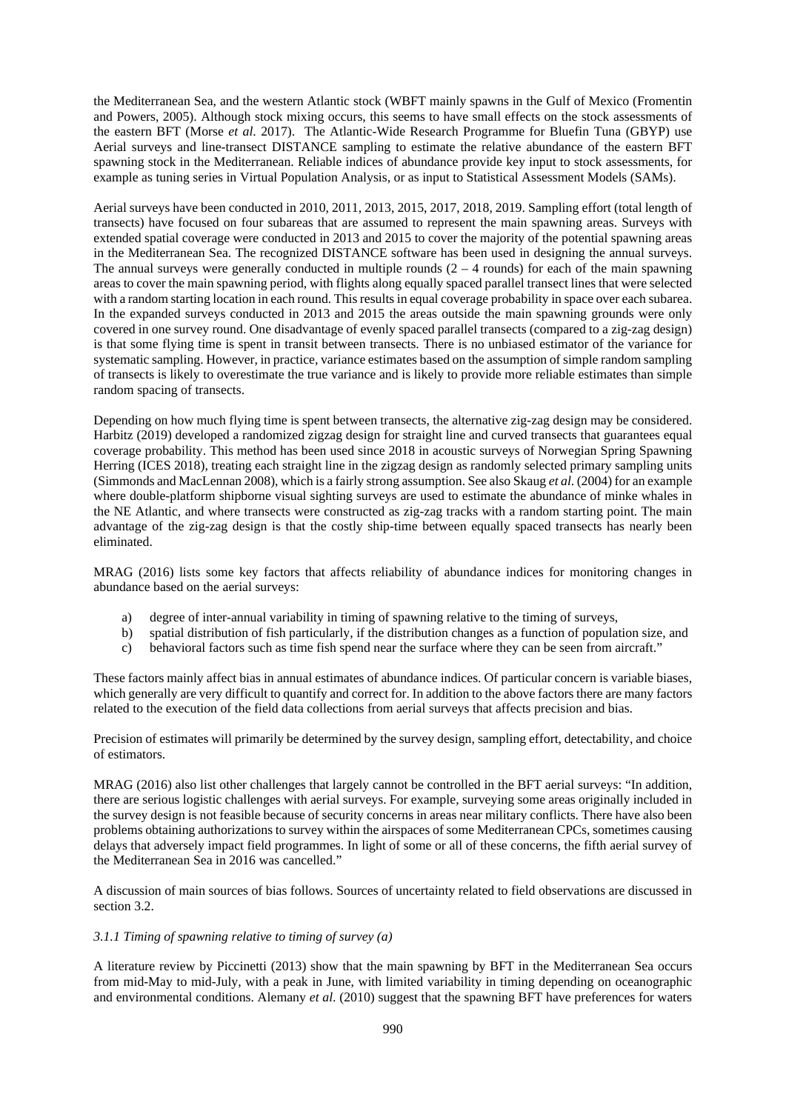the Mediterranean Sea, and the western Atlantic stock (WBFT mainly spawns in the Gulf of Mexico (Fromentin and Powers, 2005). Although stock mixing occurs, this seems to have small effects on the stock assessments of the eastern BFT (Morse *et al*. 2017). The Atlantic-Wide Research Programme for Bluefin Tuna (GBYP) use Aerial surveys and line-transect DISTANCE sampling to estimate the relative abundance of the eastern BFT spawning stock in the Mediterranean. Reliable indices of abundance provide key input to stock assessments, for example as tuning series in Virtual Population Analysis, or as input to Statistical Assessment Models (SAMs).

Aerial surveys have been conducted in 2010, 2011, 2013, 2015, 2017, 2018, 2019. Sampling effort (total length of transects) have focused on four subareas that are assumed to represent the main spawning areas. Surveys with extended spatial coverage were conducted in 2013 and 2015 to cover the majority of the potential spawning areas in the Mediterranean Sea. The recognized DISTANCE software has been used in designing the annual surveys. The annual surveys were generally conducted in multiple rounds  $(2 - 4$  rounds) for each of the main spawning areas to cover the main spawning period, with flights along equally spaced parallel transect lines that were selected with a random starting location in each round. This results in equal coverage probability in space over each subarea. In the expanded surveys conducted in 2013 and 2015 the areas outside the main spawning grounds were only covered in one survey round. One disadvantage of evenly spaced parallel transects (compared to a zig-zag design) is that some flying time is spent in transit between transects. There is no unbiased estimator of the variance for systematic sampling. However, in practice, variance estimates based on the assumption of simple random sampling of transects is likely to overestimate the true variance and is likely to provide more reliable estimates than simple random spacing of transects.

Depending on how much flying time is spent between transects, the alternative zig-zag design may be considered. Harbitz (2019) developed a randomized zigzag design for straight line and curved transects that guarantees equal coverage probability. This method has been used since 2018 in acoustic surveys of Norwegian Spring Spawning Herring (ICES 2018), treating each straight line in the zigzag design as randomly selected primary sampling units (Simmonds and MacLennan 2008), which is a fairly strong assumption. See also Skaug *et al*. (2004) for an example where double-platform shipborne visual sighting surveys are used to estimate the abundance of minke whales in the NE Atlantic, and where transects were constructed as zig-zag tracks with a random starting point. The main advantage of the zig-zag design is that the costly ship-time between equally spaced transects has nearly been eliminated.

MRAG (2016) lists some key factors that affects reliability of abundance indices for monitoring changes in abundance based on the aerial surveys:

- a) degree of inter-annual variability in timing of spawning relative to the timing of surveys,
- b) spatial distribution of fish particularly, if the distribution changes as a function of population size, and
- c) behavioral factors such as time fish spend near the surface where they can be seen from aircraft."

These factors mainly affect bias in annual estimates of abundance indices. Of particular concern is variable biases, which generally are very difficult to quantify and correct for. In addition to the above factors there are many factors related to the execution of the field data collections from aerial surveys that affects precision and bias.

Precision of estimates will primarily be determined by the survey design, sampling effort, detectability, and choice of estimators.

MRAG (2016) also list other challenges that largely cannot be controlled in the BFT aerial surveys: "In addition, there are serious logistic challenges with aerial surveys. For example, surveying some areas originally included in the survey design is not feasible because of security concerns in areas near military conflicts. There have also been problems obtaining authorizations to survey within the airspaces of some Mediterranean CPCs, sometimes causing delays that adversely impact field programmes. In light of some or all of these concerns, the fifth aerial survey of the Mediterranean Sea in 2016 was cancelled."

A discussion of main sources of bias follows. Sources of uncertainty related to field observations are discussed in section 3.2.

### *3.1.1 Timing of spawning relative to timing of survey (a)*

A literature review by Piccinetti (2013) show that the main spawning by BFT in the Mediterranean Sea occurs from mid-May to mid-July, with a peak in June, with limited variability in timing depending on oceanographic and environmental conditions. Alemany *et al*. (2010) suggest that the spawning BFT have preferences for waters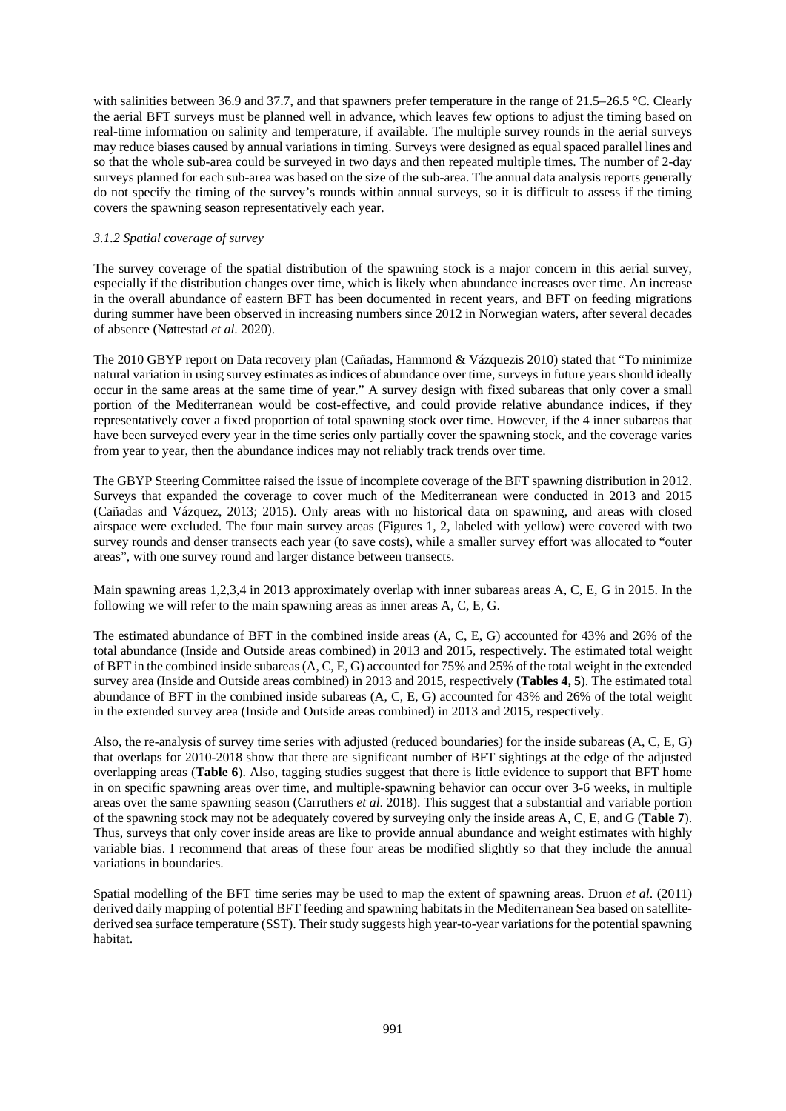with salinities between 36.9 and 37.7, and that spawners prefer temperature in the range of 21.5–26.5 °C. Clearly the aerial BFT surveys must be planned well in advance, which leaves few options to adjust the timing based on real-time information on salinity and temperature, if available. The multiple survey rounds in the aerial surveys may reduce biases caused by annual variations in timing. Surveys were designed as equal spaced parallel lines and so that the whole sub-area could be surveyed in two days and then repeated multiple times. The number of 2-day surveys planned for each sub-area was based on the size of the sub-area. The annual data analysis reports generally do not specify the timing of the survey's rounds within annual surveys, so it is difficult to assess if the timing covers the spawning season representatively each year.

### *3.1.2 Spatial coverage of survey*

The survey coverage of the spatial distribution of the spawning stock is a major concern in this aerial survey, especially if the distribution changes over time, which is likely when abundance increases over time. An increase in the overall abundance of eastern BFT has been documented in recent years, and BFT on feeding migrations during summer have been observed in increasing numbers since 2012 in Norwegian waters, after several decades of absence (Nøttestad *et al*. 2020).

The 2010 GBYP report on Data recovery plan (Cañadas, Hammond & Vázquezis 2010) stated that "To minimize natural variation in using survey estimates as indices of abundance over time, surveys in future years should ideally occur in the same areas at the same time of year." A survey design with fixed subareas that only cover a small portion of the Mediterranean would be cost-effective, and could provide relative abundance indices, if they representatively cover a fixed proportion of total spawning stock over time. However, if the 4 inner subareas that have been surveyed every year in the time series only partially cover the spawning stock, and the coverage varies from year to year, then the abundance indices may not reliably track trends over time.

The GBYP Steering Committee raised the issue of incomplete coverage of the BFT spawning distribution in 2012. Surveys that expanded the coverage to cover much of the Mediterranean were conducted in 2013 and 2015 (Cañadas and Vázquez, 2013; 2015). Only areas with no historical data on spawning, and areas with closed airspace were excluded. The four main survey areas (Figures 1, 2, labeled with yellow) were covered with two survey rounds and denser transects each year (to save costs), while a smaller survey effort was allocated to "outer areas", with one survey round and larger distance between transects.

Main spawning areas 1,2,3,4 in 2013 approximately overlap with inner subareas areas A, C, E, G in 2015. In the following we will refer to the main spawning areas as inner areas A, C, E, G.

The estimated abundance of BFT in the combined inside areas (A, C, E, G) accounted for 43% and 26% of the total abundance (Inside and Outside areas combined) in 2013 and 2015, respectively. The estimated total weight of BFT in the combined inside subareas (A, C, E, G) accounted for 75% and 25% of the total weight in the extended survey area (Inside and Outside areas combined) in 2013 and 2015, respectively (**Tables 4, 5**). The estimated total abundance of BFT in the combined inside subareas (A, C, E, G) accounted for 43% and 26% of the total weight in the extended survey area (Inside and Outside areas combined) in 2013 and 2015, respectively.

Also, the re-analysis of survey time series with adjusted (reduced boundaries) for the inside subareas (A, C, E, G) that overlaps for 2010-2018 show that there are significant number of BFT sightings at the edge of the adjusted overlapping areas (**Table 6**). Also, tagging studies suggest that there is little evidence to support that BFT home in on specific spawning areas over time, and multiple-spawning behavior can occur over 3-6 weeks, in multiple areas over the same spawning season (Carruthers *et al*. 2018). This suggest that a substantial and variable portion of the spawning stock may not be adequately covered by surveying only the inside areas A, C, E, and G (**Table 7**). Thus, surveys that only cover inside areas are like to provide annual abundance and weight estimates with highly variable bias. I recommend that areas of these four areas be modified slightly so that they include the annual variations in boundaries.

Spatial modelling of the BFT time series may be used to map the extent of spawning areas. Druon *et al*. (2011) derived daily mapping of potential BFT feeding and spawning habitats in the Mediterranean Sea based on satellitederived sea surface temperature (SST). Their study suggests high year-to-year variations for the potential spawning habitat.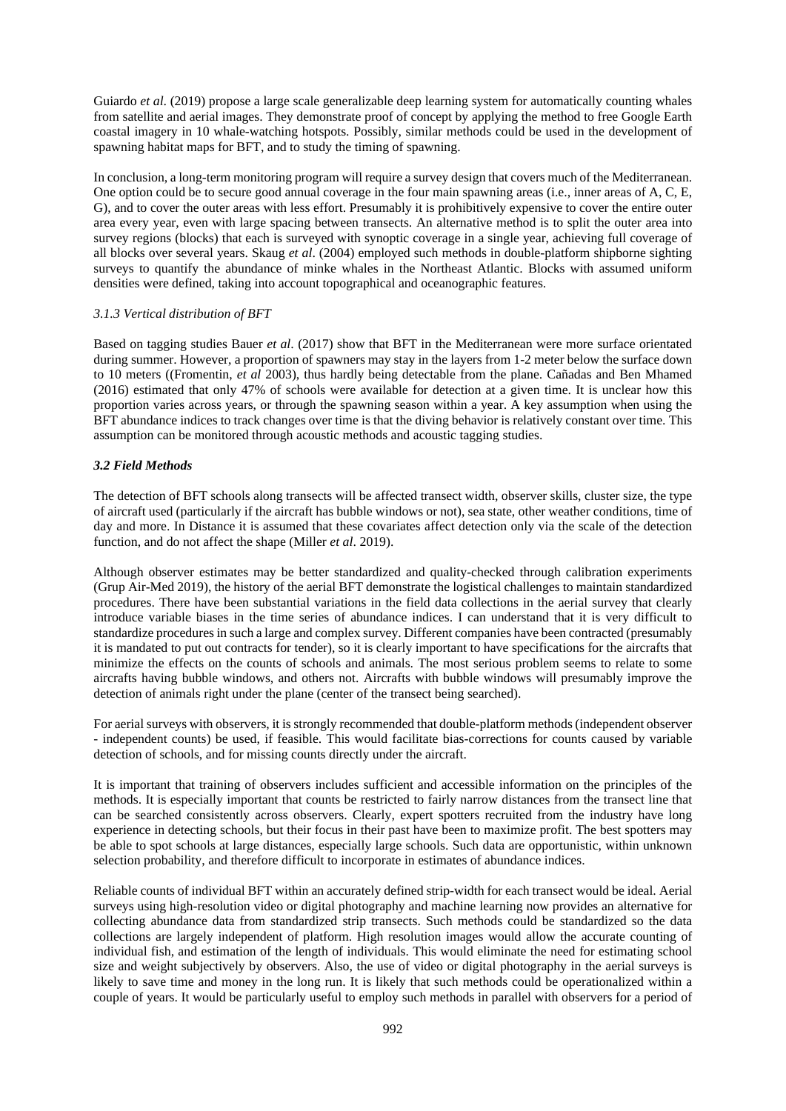Guiardo *et al*. (2019) propose a large scale generalizable deep learning system for automatically counting whales from satellite and aerial images. They demonstrate proof of concept by applying the method to free Google Earth coastal imagery in 10 whale-watching hotspots. Possibly, similar methods could be used in the development of spawning habitat maps for BFT, and to study the timing of spawning.

In conclusion, a long-term monitoring program will require a survey design that covers much of the Mediterranean. One option could be to secure good annual coverage in the four main spawning areas (i.e., inner areas of A, C, E, G), and to cover the outer areas with less effort. Presumably it is prohibitively expensive to cover the entire outer area every year, even with large spacing between transects. An alternative method is to split the outer area into survey regions (blocks) that each is surveyed with synoptic coverage in a single year, achieving full coverage of all blocks over several years. Skaug *et al*. (2004) employed such methods in double-platform shipborne sighting surveys to quantify the abundance of minke whales in the Northeast Atlantic. Blocks with assumed uniform densities were defined, taking into account topographical and oceanographic features.

# *3.1.3 Vertical distribution of BFT*

Based on tagging studies Bauer *et al*. (2017) show that BFT in the Mediterranean were more surface orientated during summer. However, a proportion of spawners may stay in the layers from 1-2 meter below the surface down to 10 meters ((Fromentin, *et al* 2003), thus hardly being detectable from the plane. Cañadas and Ben Mhamed (2016) estimated that only 47% of schools were available for detection at a given time. It is unclear how this proportion varies across years, or through the spawning season within a year. A key assumption when using the BFT abundance indices to track changes over time is that the diving behavior is relatively constant over time. This assumption can be monitored through acoustic methods and acoustic tagging studies.

### *3.2 Field Methods*

The detection of BFT schools along transects will be affected transect width, observer skills, cluster size, the type of aircraft used (particularly if the aircraft has bubble windows or not), sea state, other weather conditions, time of day and more. In Distance it is assumed that these covariates affect detection only via the scale of the detection function, and do not affect the shape (Miller *et al*. 2019).

Although observer estimates may be better standardized and quality-checked through calibration experiments (Grup Air-Med 2019), the history of the aerial BFT demonstrate the logistical challenges to maintain standardized procedures. There have been substantial variations in the field data collections in the aerial survey that clearly introduce variable biases in the time series of abundance indices. I can understand that it is very difficult to standardize procedures in such a large and complex survey. Different companies have been contracted (presumably it is mandated to put out contracts for tender), so it is clearly important to have specifications for the aircrafts that minimize the effects on the counts of schools and animals. The most serious problem seems to relate to some aircrafts having bubble windows, and others not. Aircrafts with bubble windows will presumably improve the detection of animals right under the plane (center of the transect being searched).

For aerial surveys with observers, it is strongly recommended that double-platform methods(independent observer - independent counts) be used, if feasible. This would facilitate bias-corrections for counts caused by variable detection of schools, and for missing counts directly under the aircraft.

It is important that training of observers includes sufficient and accessible information on the principles of the methods. It is especially important that counts be restricted to fairly narrow distances from the transect line that can be searched consistently across observers. Clearly, expert spotters recruited from the industry have long experience in detecting schools, but their focus in their past have been to maximize profit. The best spotters may be able to spot schools at large distances, especially large schools. Such data are opportunistic, within unknown selection probability, and therefore difficult to incorporate in estimates of abundance indices.

Reliable counts of individual BFT within an accurately defined strip-width for each transect would be ideal. Aerial surveys using high-resolution video or digital photography and machine learning now provides an alternative for collecting abundance data from standardized strip transects. Such methods could be standardized so the data collections are largely independent of platform. High resolution images would allow the accurate counting of individual fish, and estimation of the length of individuals. This would eliminate the need for estimating school size and weight subjectively by observers. Also, the use of video or digital photography in the aerial surveys is likely to save time and money in the long run. It is likely that such methods could be operationalized within a couple of years. It would be particularly useful to employ such methods in parallel with observers for a period of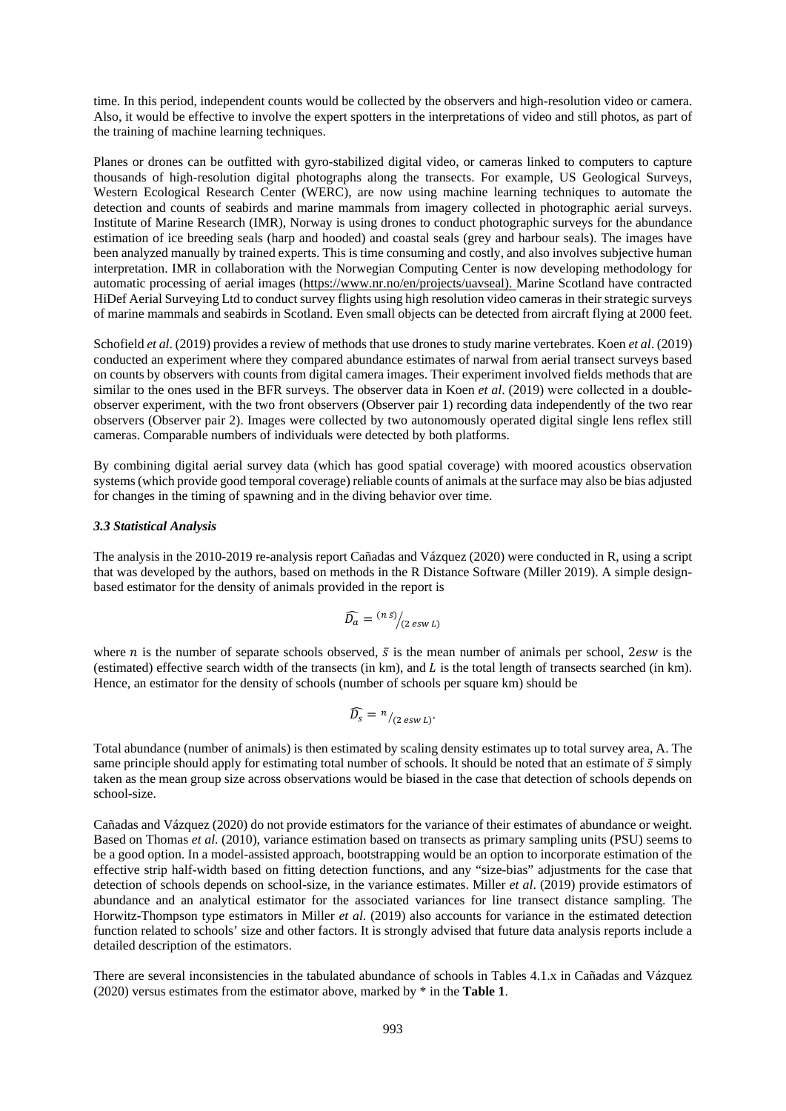time. In this period, independent counts would be collected by the observers and high-resolution video or camera. Also, it would be effective to involve the expert spotters in the interpretations of video and still photos, as part of the training of machine learning techniques.

Planes or drones can be outfitted with gyro-stabilized digital video, or cameras linked to computers to capture thousands of high-resolution digital photographs along the transects. For example, US Geological Surveys, Western Ecological Research Center (WERC), are now using machine learning techniques to automate the detection and counts of seabirds and marine mammals from imagery collected in photographic aerial surveys. Institute of Marine Research (IMR), Norway is using drones to conduct photographic surveys for the abundance estimation of ice breeding seals (harp and hooded) and coastal seals (grey and harbour seals). The images have been analyzed manually by trained experts. This is time consuming and costly, and also involves subjective human interpretation. IMR in collaboration with the Norwegian Computing Center is now developing methodology for automatic processing of aerial images [\(https://www.nr.no/en/projects/uavseal\)](https://www.nr.no/en/projects/uavseal). Marine Scotland have contracted HiDef Aerial Surveying Ltd to conduct survey flights using high resolution video cameras in their strategic surveys of marine mammals and seabirds in Scotland. Even small objects can be detected from aircraft flying at 2000 feet.

Schofield *et al*. (2019) provides a review of methods that use drones to study marine vertebrates. Koen *et al*. (2019) conducted an experiment where they compared abundance estimates of narwal from aerial transect surveys based on counts by observers with counts from digital camera images. Their experiment involved fields methods that are similar to the ones used in the BFR surveys. The observer data in Koen *et al.* (2019) were collected in a doubleobserver experiment, with the two front observers (Observer pair 1) recording data independently of the two rear observers (Observer pair 2). Images were collected by two autonomously operated digital single lens reflex still cameras. Comparable numbers of individuals were detected by both platforms.

By combining digital aerial survey data (which has good spatial coverage) with moored acoustics observation systems (which provide good temporal coverage) reliable counts of animals at the surface may also be bias adjusted for changes in the timing of spawning and in the diving behavior over time.

### *3.3 Statistical Analysis*

The analysis in the 2010-2019 re-analysis report Cañadas and Vázquez (2020) were conducted in R, using a script that was developed by the authors, based on methods in the R Distance Software (Miller 2019). A simple designbased estimator for the density of animals provided in the report is

$$
\widehat{D_a} = \frac{(n\,\bar{s})}{(2\,\text{esw}\,L)}
$$

where *n* is the number of separate schools observed,  $\bar{s}$  is the mean number of animals per school, 2esw is the (estimated) effective search width of the transects (in km), and  $L$  is the total length of transects searched (in km). Hence, an estimator for the density of schools (number of schools per square km) should be

$$
\widehat{D_s} = \frac{n}{2} \exp(i2 \exp L)
$$

Total abundance (number of animals) is then estimated by scaling density estimates up to total survey area, A. The same principle should apply for estimating total number of schools. It should be noted that an estimate of  $\bar{s}$  simply taken as the mean group size across observations would be biased in the case that detection of schools depends on school-size.

Cañadas and Vázquez (2020) do not provide estimators for the variance of their estimates of abundance or weight. Based on Thomas *et al*. (2010), variance estimation based on transects as primary sampling units (PSU) seems to be a good option. In a model-assisted approach, bootstrapping would be an option to incorporate estimation of the effective strip half-width based on fitting detection functions, and any "size-bias" adjustments for the case that detection of schools depends on school-size, in the variance estimates. Miller *et al*. (2019) provide estimators of abundance and an analytical estimator for the associated variances for line transect distance sampling. The Horwitz-Thompson type estimators in Miller *et al*. (2019) also accounts for variance in the estimated detection function related to schools' size and other factors. It is strongly advised that future data analysis reports include a detailed description of the estimators.

There are several inconsistencies in the tabulated abundance of schools in Tables 4.1.x in Cañadas and Vázquez (2020) versus estimates from the estimator above, marked by \* in the **Table 1**.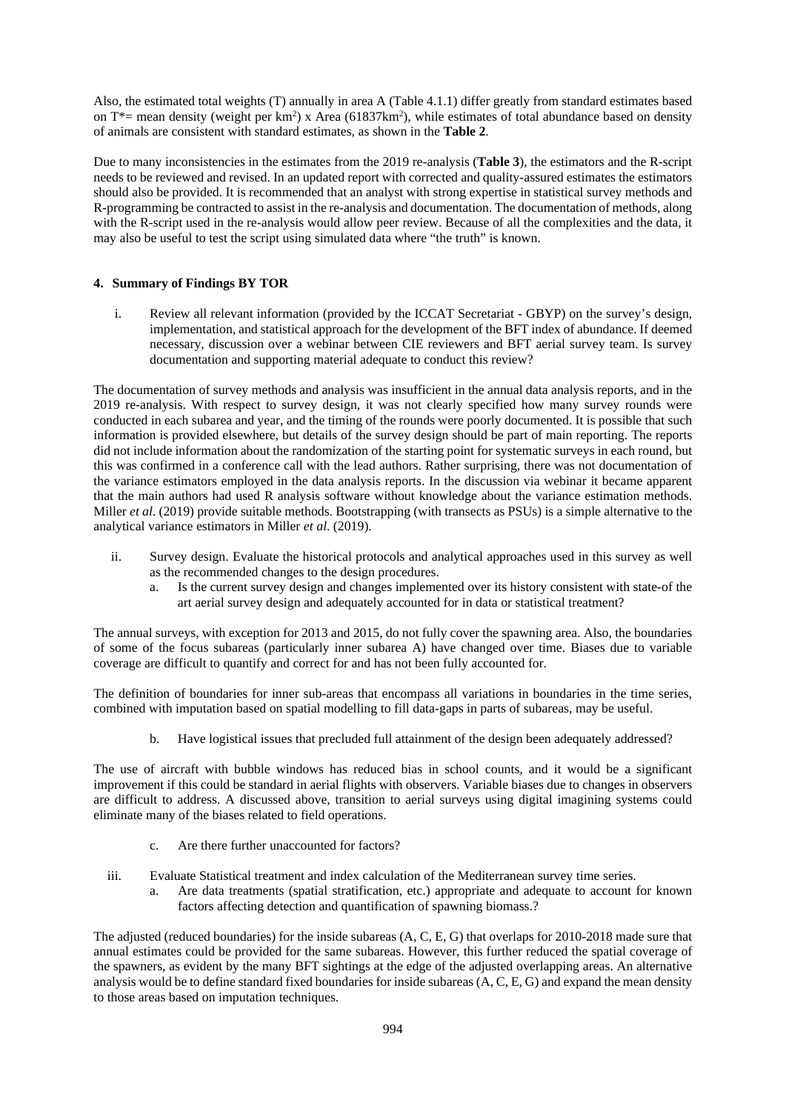Also, the estimated total weights (T) annually in area A (Table 4.1.1) differ greatly from standard estimates based on T<sup>\*</sup>= mean density (weight per km<sup>2</sup>) x Area (61837km<sup>2</sup>), while estimates of total abundance based on density of animals are consistent with standard estimates, as shown in the **Table 2**.

Due to many inconsistencies in the estimates from the 2019 re-analysis (**Table 3**), the estimators and the R-script needs to be reviewed and revised. In an updated report with corrected and quality-assured estimates the estimators should also be provided. It is recommended that an analyst with strong expertise in statistical survey methods and R-programming be contracted to assist in the re-analysis and documentation. The documentation of methods, along with the R-script used in the re-analysis would allow peer review. Because of all the complexities and the data, it may also be useful to test the script using simulated data where "the truth" is known.

# **4. Summary of Findings BY TOR**

i. Review all relevant information (provided by the ICCAT Secretariat - GBYP) on the survey's design, implementation, and statistical approach for the development of the BFT index of abundance. If deemed necessary, discussion over a webinar between CIE reviewers and BFT aerial survey team. Is survey documentation and supporting material adequate to conduct this review?

The documentation of survey methods and analysis was insufficient in the annual data analysis reports, and in the 2019 re-analysis. With respect to survey design, it was not clearly specified how many survey rounds were conducted in each subarea and year, and the timing of the rounds were poorly documented. It is possible that such information is provided elsewhere, but details of the survey design should be part of main reporting. The reports did not include information about the randomization of the starting point for systematic surveys in each round, but this was confirmed in a conference call with the lead authors. Rather surprising, there was not documentation of the variance estimators employed in the data analysis reports. In the discussion via webinar it became apparent that the main authors had used R analysis software without knowledge about the variance estimation methods. Miller *et al*. (2019) provide suitable methods. Bootstrapping (with transects as PSUs) is a simple alternative to the analytical variance estimators in Miller *et al*. (2019).

- ii. Survey design. Evaluate the historical protocols and analytical approaches used in this survey as well as the recommended changes to the design procedures.
	- a. Is the current survey design and changes implemented over its history consistent with state-of the art aerial survey design and adequately accounted for in data or statistical treatment?

The annual surveys, with exception for 2013 and 2015, do not fully cover the spawning area. Also, the boundaries of some of the focus subareas (particularly inner subarea A) have changed over time. Biases due to variable coverage are difficult to quantify and correct for and has not been fully accounted for.

The definition of boundaries for inner sub-areas that encompass all variations in boundaries in the time series, combined with imputation based on spatial modelling to fill data-gaps in parts of subareas, may be useful.

b. Have logistical issues that precluded full attainment of the design been adequately addressed?

The use of aircraft with bubble windows has reduced bias in school counts, and it would be a significant improvement if this could be standard in aerial flights with observers. Variable biases due to changes in observers are difficult to address. A discussed above, transition to aerial surveys using digital imagining systems could eliminate many of the biases related to field operations.

- c. Are there further unaccounted for factors?
- iii. Evaluate Statistical treatment and index calculation of the Mediterranean survey time series.
	- a. Are data treatments (spatial stratification, etc.) appropriate and adequate to account for known factors affecting detection and quantification of spawning biomass.?

The adjusted (reduced boundaries) for the inside subareas (A, C, E, G) that overlaps for 2010-2018 made sure that annual estimates could be provided for the same subareas. However, this further reduced the spatial coverage of the spawners, as evident by the many BFT sightings at the edge of the adjusted overlapping areas. An alternative analysis would be to define standard fixed boundaries for inside subareas (A, C, E, G) and expand the mean density to those areas based on imputation techniques.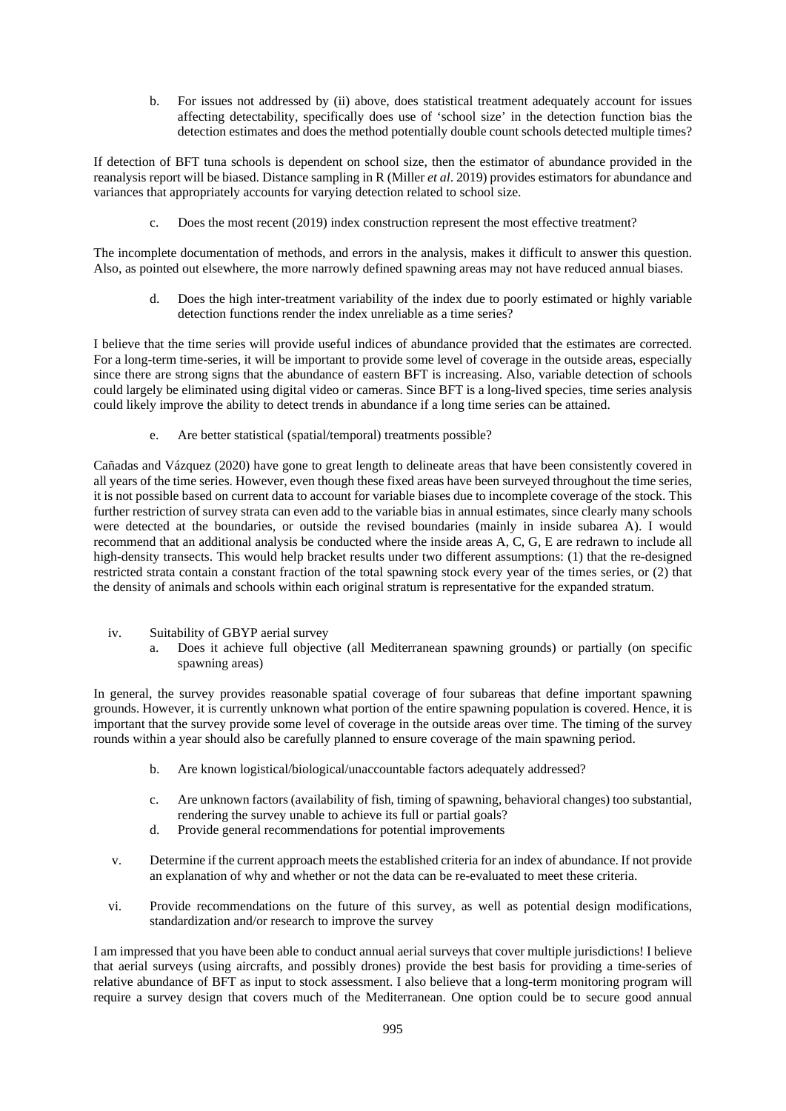b. For issues not addressed by (ii) above, does statistical treatment adequately account for issues affecting detectability, specifically does use of 'school size' in the detection function bias the detection estimates and does the method potentially double count schools detected multiple times?

If detection of BFT tuna schools is dependent on school size, then the estimator of abundance provided in the reanalysis report will be biased. Distance sampling in R (Miller *et al*. 2019) provides estimators for abundance and variances that appropriately accounts for varying detection related to school size.

c. Does the most recent (2019) index construction represent the most effective treatment?

The incomplete documentation of methods, and errors in the analysis, makes it difficult to answer this question. Also, as pointed out elsewhere, the more narrowly defined spawning areas may not have reduced annual biases.

d. Does the high inter-treatment variability of the index due to poorly estimated or highly variable detection functions render the index unreliable as a time series?

I believe that the time series will provide useful indices of abundance provided that the estimates are corrected. For a long-term time-series, it will be important to provide some level of coverage in the outside areas, especially since there are strong signs that the abundance of eastern BFT is increasing. Also, variable detection of schools could largely be eliminated using digital video or cameras. Since BFT is a long-lived species, time series analysis could likely improve the ability to detect trends in abundance if a long time series can be attained.

e. Are better statistical (spatial/temporal) treatments possible?

Cañadas and Vázquez (2020) have gone to great length to delineate areas that have been consistently covered in all years of the time series. However, even though these fixed areas have been surveyed throughout the time series, it is not possible based on current data to account for variable biases due to incomplete coverage of the stock. This further restriction of survey strata can even add to the variable bias in annual estimates, since clearly many schools were detected at the boundaries, or outside the revised boundaries (mainly in inside subarea A). I would recommend that an additional analysis be conducted where the inside areas A, C, G, E are redrawn to include all high-density transects. This would help bracket results under two different assumptions: (1) that the re-designed restricted strata contain a constant fraction of the total spawning stock every year of the times series, or (2) that the density of animals and schools within each original stratum is representative for the expanded stratum.

- iv. Suitability of GBYP aerial survey
	- a. Does it achieve full objective (all Mediterranean spawning grounds) or partially (on specific spawning areas)

In general, the survey provides reasonable spatial coverage of four subareas that define important spawning grounds. However, it is currently unknown what portion of the entire spawning population is covered. Hence, it is important that the survey provide some level of coverage in the outside areas over time. The timing of the survey rounds within a year should also be carefully planned to ensure coverage of the main spawning period.

- b. Are known logistical/biological/unaccountable factors adequately addressed?
- c. Are unknown factors (availability of fish, timing of spawning, behavioral changes) too substantial, rendering the survey unable to achieve its full or partial goals?
- d. Provide general recommendations for potential improvements
- v. Determine if the current approach meets the established criteria for an index of abundance. If not provide an explanation of why and whether or not the data can be re-evaluated to meet these criteria.
- vi. Provide recommendations on the future of this survey, as well as potential design modifications, standardization and/or research to improve the survey

I am impressed that you have been able to conduct annual aerial surveys that cover multiple jurisdictions! I believe that aerial surveys (using aircrafts, and possibly drones) provide the best basis for providing a time-series of relative abundance of BFT as input to stock assessment. I also believe that a long-term monitoring program will require a survey design that covers much of the Mediterranean. One option could be to secure good annual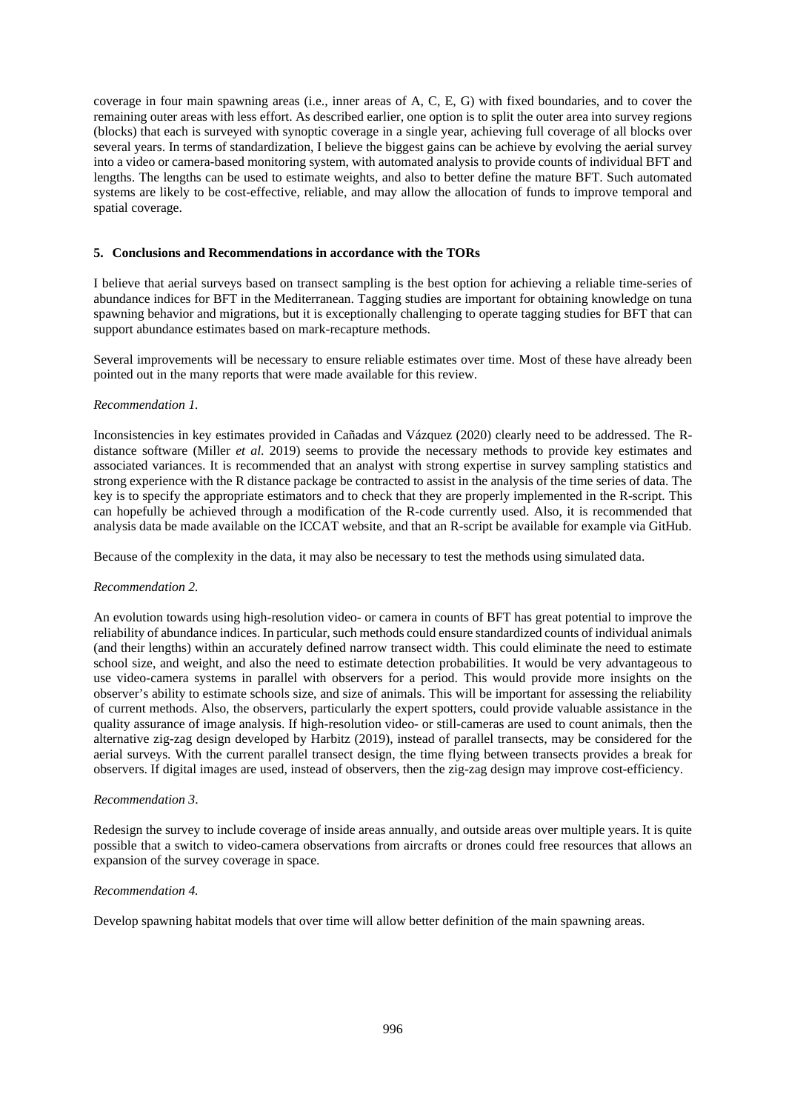coverage in four main spawning areas (i.e., inner areas of A, C, E, G) with fixed boundaries, and to cover the remaining outer areas with less effort. As described earlier, one option is to split the outer area into survey regions (blocks) that each is surveyed with synoptic coverage in a single year, achieving full coverage of all blocks over several years. In terms of standardization, I believe the biggest gains can be achieve by evolving the aerial survey into a video or camera-based monitoring system, with automated analysis to provide counts of individual BFT and lengths. The lengths can be used to estimate weights, and also to better define the mature BFT. Such automated systems are likely to be cost-effective, reliable, and may allow the allocation of funds to improve temporal and spatial coverage.

### **5. Conclusions and Recommendations in accordance with the TORs**

I believe that aerial surveys based on transect sampling is the best option for achieving a reliable time-series of abundance indices for BFT in the Mediterranean. Tagging studies are important for obtaining knowledge on tuna spawning behavior and migrations, but it is exceptionally challenging to operate tagging studies for BFT that can support abundance estimates based on mark-recapture methods.

Several improvements will be necessary to ensure reliable estimates over time. Most of these have already been pointed out in the many reports that were made available for this review.

### *Recommendation 1.*

Inconsistencies in key estimates provided in Cañadas and Vázquez (2020) clearly need to be addressed. The Rdistance software (Miller *et al*. 2019) seems to provide the necessary methods to provide key estimates and associated variances. It is recommended that an analyst with strong expertise in survey sampling statistics and strong experience with the R distance package be contracted to assist in the analysis of the time series of data. The key is to specify the appropriate estimators and to check that they are properly implemented in the R-script. This can hopefully be achieved through a modification of the R-code currently used. Also, it is recommended that analysis data be made available on the ICCAT website, and that an R-script be available for example via GitHub.

Because of the complexity in the data, it may also be necessary to test the methods using simulated data.

### *Recommendation 2.*

An evolution towards using high-resolution video- or camera in counts of BFT has great potential to improve the reliability of abundance indices. In particular, such methods could ensure standardized counts of individual animals (and their lengths) within an accurately defined narrow transect width. This could eliminate the need to estimate school size, and weight, and also the need to estimate detection probabilities. It would be very advantageous to use video-camera systems in parallel with observers for a period. This would provide more insights on the observer's ability to estimate schools size, and size of animals. This will be important for assessing the reliability of current methods. Also, the observers, particularly the expert spotters, could provide valuable assistance in the quality assurance of image analysis. If high-resolution video- or still-cameras are used to count animals, then the alternative zig-zag design developed by Harbitz (2019), instead of parallel transects, may be considered for the aerial surveys. With the current parallel transect design, the time flying between transects provides a break for observers. If digital images are used, instead of observers, then the zig-zag design may improve cost-efficiency.

### *Recommendation 3*.

Redesign the survey to include coverage of inside areas annually, and outside areas over multiple years. It is quite possible that a switch to video-camera observations from aircrafts or drones could free resources that allows an expansion of the survey coverage in space.

# *Recommendation 4.*

Develop spawning habitat models that over time will allow better definition of the main spawning areas.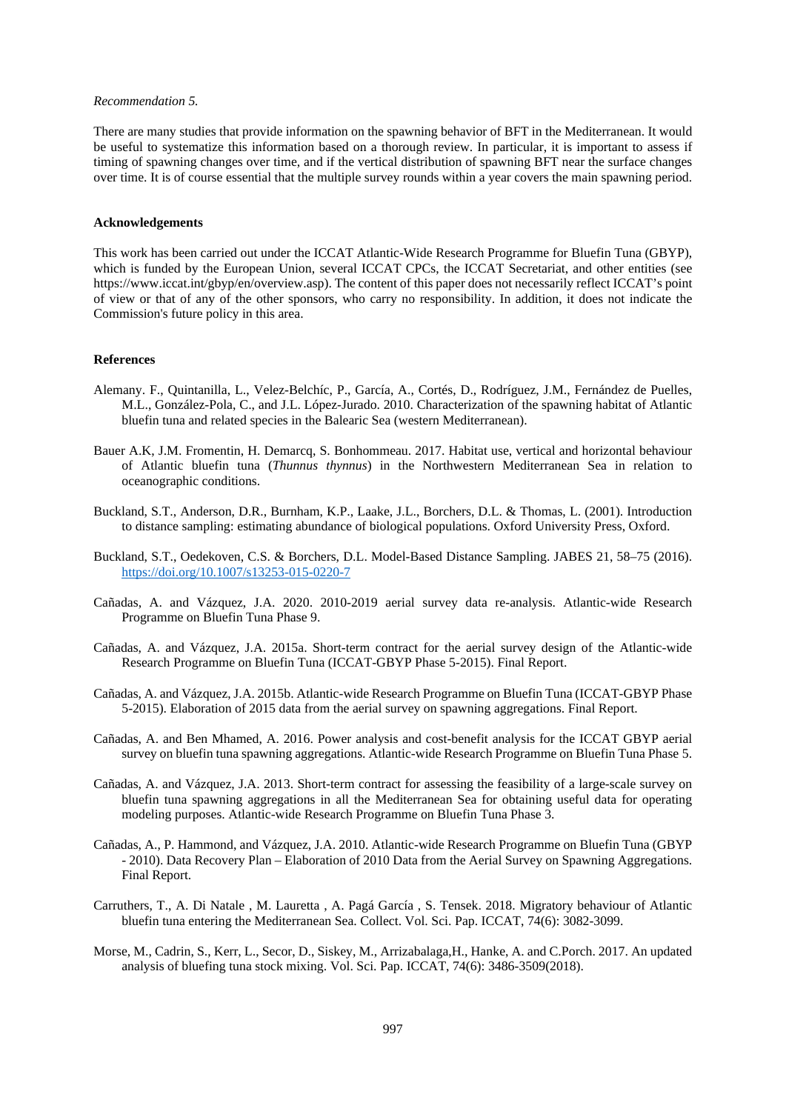#### *Recommendation 5.*

There are many studies that provide information on the spawning behavior of BFT in the Mediterranean. It would be useful to systematize this information based on a thorough review. In particular, it is important to assess if timing of spawning changes over time, and if the vertical distribution of spawning BFT near the surface changes over time. It is of course essential that the multiple survey rounds within a year covers the main spawning period.

### **Acknowledgements**

This work has been carried out under the ICCAT Atlantic-Wide Research Programme for Bluefin Tuna (GBYP), which is funded by the European Union, several ICCAT CPCs, the ICCAT Secretariat, and other entities (see https://www.iccat.int/gbyp/en/overview.asp). The content of this paper does not necessarily reflect ICCAT's point of view or that of any of the other sponsors, who carry no responsibility. In addition, it does not indicate the Commission's future policy in this area.

### **References**

- Alemany. F., Quintanilla, L., Velez-Belchíc, P., García, A., Cortés, D., Rodríguez, J.M., Fernández de Puelles, M.L., González-Pola, C., and J.L. López-Jurado. 2010. Characterization of the spawning habitat of Atlantic bluefin tuna and related species in the Balearic Sea (western Mediterranean).
- Bauer A.K, J.M. Fromentin, H. Demarcq, S. Bonhommeau. 2017. Habitat use, vertical and horizontal behaviour of Atlantic bluefin tuna (*Thunnus thynnus*) in the Northwestern Mediterranean Sea in relation to oceanographic conditions.
- Buckland, S.T., Anderson, D.R., Burnham, K.P., Laake, J.L., Borchers, D.L. & Thomas, L. (2001). Introduction to distance sampling: estimating abundance of biological populations. Oxford University Press, Oxford.
- Buckland, S.T., Oedekoven, C.S. & Borchers, D.L. Model-Based Distance Sampling. JABES 21, 58–75 (2016). <https://doi.org/10.1007/s13253-015-0220-7>
- Cañadas, A. and Vázquez, J.A. 2020. 2010-2019 aerial survey data re-analysis. Atlantic-wide Research Programme on Bluefin Tuna Phase 9.
- Cañadas, A. and Vázquez, J.A. 2015a. Short-term contract for the aerial survey design of the Atlantic-wide Research Programme on Bluefin Tuna (ICCAT-GBYP Phase 5-2015). Final Report.
- Cañadas, A. and Vázquez, J.A. 2015b. Atlantic-wide Research Programme on Bluefin Tuna (ICCAT-GBYP Phase 5-2015). Elaboration of 2015 data from the aerial survey on spawning aggregations. Final Report.
- Cañadas, A. and Ben Mhamed, A. 2016. Power analysis and cost-benefit analysis for the ICCAT GBYP aerial survey on bluefin tuna spawning aggregations. Atlantic-wide Research Programme on Bluefin Tuna Phase 5.
- Cañadas, A. and Vázquez, J.A. 2013. Short-term contract for assessing the feasibility of a large-scale survey on bluefin tuna spawning aggregations in all the Mediterranean Sea for obtaining useful data for operating modeling purposes. Atlantic-wide Research Programme on Bluefin Tuna Phase 3.
- Cañadas, A., P. Hammond, and Vázquez, J.A. 2010. Atlantic-wide Research Programme on Bluefin Tuna (GBYP - 2010). Data Recovery Plan – Elaboration of 2010 Data from the Aerial Survey on Spawning Aggregations. Final Report.
- Carruthers, T., A. Di Natale , M. Lauretta , A. Pagá García , S. Tensek. 2018. Migratory behaviour of Atlantic bluefin tuna entering the Mediterranean Sea. Collect. Vol. Sci. Pap. ICCAT, 74(6): 3082-3099.
- Morse, M., Cadrin, S., Kerr, L., Secor, D., Siskey, M., Arrizabalaga,H., Hanke, A. and C.Porch. 2017. An updated analysis of bluefing tuna stock mixing. Vol. Sci. Pap. ICCAT, 74(6): 3486-3509(2018).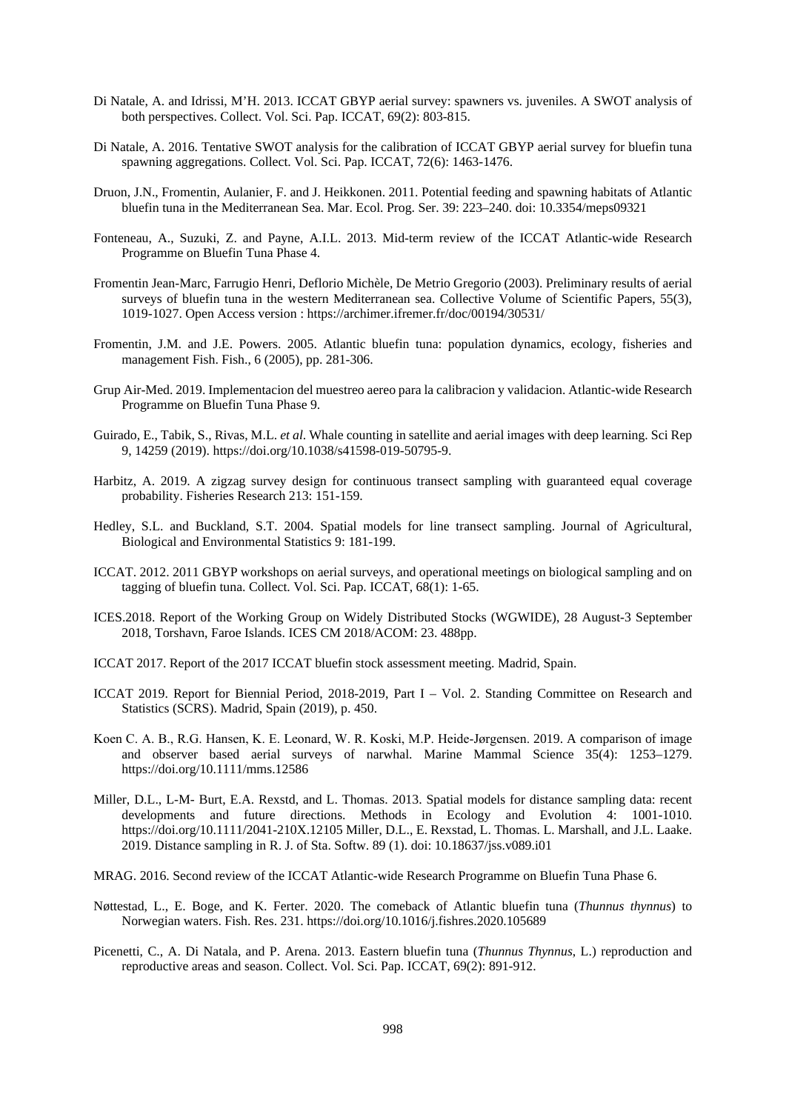- Di Natale, A. and Idrissi, M'H. 2013. ICCAT GBYP aerial survey: spawners vs. juveniles. A SWOT analysis of both perspectives. Collect. Vol. Sci. Pap. ICCAT, 69(2): 803-815.
- Di Natale, A. 2016. Tentative SWOT analysis for the calibration of ICCAT GBYP aerial survey for bluefin tuna spawning aggregations. Collect. Vol. Sci. Pap. ICCAT, 72(6): 1463-1476.
- Druon, J.N., Fromentin, Aulanier, F. and J. Heikkonen. 2011. Potential feeding and spawning habitats of Atlantic bluefin tuna in the Mediterranean Sea. Mar. Ecol. Prog. Ser. 39: 223–240. doi: 10.3354/meps09321
- Fonteneau, A., Suzuki, Z. and Payne, A.I.L. 2013. Mid-term review of the ICCAT Atlantic-wide Research Programme on Bluefin Tuna Phase 4.
- Fromentin Jean-Marc, Farrugio Henri, Deflorio Michèle, De Metrio Gregorio (2003). Preliminary results of aerial surveys of bluefin tuna in the western Mediterranean sea. Collective Volume of Scientific Papers, 55(3), 1019-1027. Open Access version : https://archimer.ifremer.fr/doc/00194/30531/
- Fromentin, J.M. and J.E. Powers. 2005. Atlantic bluefin tuna: population dynamics, ecology, fisheries and management Fish. Fish., 6 (2005), pp. 281-306.
- Grup Air-Med. 2019. Implementacion del muestreo aereo para la calibracion y validacion. Atlantic-wide Research Programme on Bluefin Tuna Phase 9.
- Guirado, E., Tabik, S., Rivas, M.L. *et al*. Whale counting in satellite and aerial images with deep learning. Sci Rep 9, 14259 (2019). [https://doi.org/10.1038/s41598-019-50795-9.](https://doi.org/10.1038/s41598-019-50795-9)
- Harbitz, A. 2019. A zigzag survey design for continuous transect sampling with guaranteed equal coverage probability. Fisheries Research 213: 151-159.
- Hedley, S.L. and Buckland, S.T. 2004. Spatial models for line transect sampling. Journal of Agricultural, Biological and Environmental Statistics 9: 181-199.
- ICCAT. 2012. 2011 GBYP workshops on aerial surveys, and operational meetings on biological sampling and on tagging of bluefin tuna. Collect. Vol. Sci. Pap. ICCAT, 68(1): 1-65.
- ICES.2018. Report of the Working Group on Widely Distributed Stocks (WGWIDE), 28 August-3 September 2018, Torshavn, Faroe Islands. ICES CM 2018/ACOM: 23. 488pp.
- ICCAT 2017. Report of the 2017 ICCAT bluefin stock assessment meeting. Madrid, Spain.
- ICCAT 2019. Report for Biennial Period, 2018-2019, Part I Vol. 2. Standing Committee on Research and Statistics (SCRS). Madrid, Spain (2019), p. 450.
- Koen C. A. B., R.G. Hansen, K. E. Leonard, W. R. Koski, M.P. Heide‐Jørgensen. 2019. A comparison of image and observer based aerial surveys of narwhal. Marine Mammal Science 35(4): 1253–1279. https://doi.org/10.1111/mms.12586
- Miller, D.L., L-M- Burt, E.A. Rexstd, and L. Thomas. 2013. Spatial models for distance sampling data: recent developments and future directions. Methods in Ecology and Evolution 4: 1001-1010. https://doi.org/10.1111/2041-210X.12105 Miller, D.L., E. Rexstad, L. Thomas. L. Marshall, and J.L. Laake. 2019. Distance sampling in R. J. of Sta. Softw. 89 (1). doi: 10.18637/jss.v089.i01
- MRAG. 2016. Second review of the ICCAT Atlantic-wide Research Programme on Bluefin Tuna Phase 6.
- Nøttestad, L., E. Boge, and K. Ferter. 2020. The comeback of Atlantic bluefin tuna (*Thunnus thynnus*) to Norwegian waters. Fish. Res. 231. https://doi.org/10.1016/j.fishres.2020.105689
- Picenetti, C., A. Di Natala, and P. Arena. 2013. Eastern bluefin tuna (*Thunnus Thynnus*, L.) reproduction and reproductive areas and season. Collect. Vol. Sci. Pap. ICCAT, 69(2): 891-912.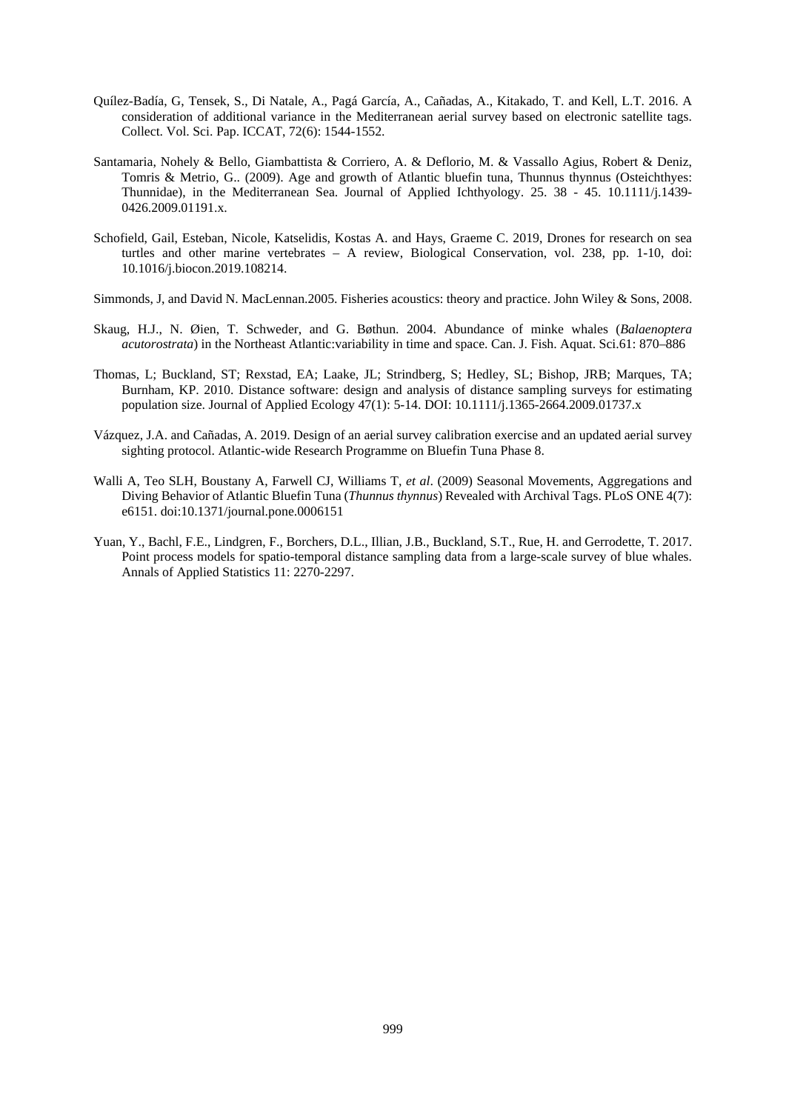- Quílez-Badía, G, Tensek, S., Di Natale, A., Pagá García, A., Cañadas, A., Kitakado, T. and Kell, L.T. 2016. A consideration of additional variance in the Mediterranean aerial survey based on electronic satellite tags. Collect. Vol. Sci. Pap. ICCAT, 72(6): 1544-1552.
- Santamaria, Nohely & Bello, Giambattista & Corriero, A. & Deflorio, M. & Vassallo Agius, Robert & Deniz, Tomris & Metrio, G.. (2009). Age and growth of Atlantic bluefin tuna, Thunnus thynnus (Osteichthyes: Thunnidae), in the Mediterranean Sea. Journal of Applied Ichthyology. 25. 38 - 45. 10.1111/j.1439- 0426.2009.01191.x.
- Schofield, Gail, Esteban, Nicole, Katselidis, Kostas A. and Hays, Graeme C. 2019, Drones for research on sea turtles and other marine vertebrates – A review, Biological Conservation, vol. 238, pp. 1-10, doi: 10.1016/j.biocon.2019.108214.
- Simmonds, J, and David N. MacLennan.2005. Fisheries acoustics: theory and practice. John Wiley & Sons, 2008.
- Skaug, H.J., N. Øien, T. Schweder, and G. Bøthun. 2004. Abundance of minke whales (*Balaenoptera acutorostrata*) in the Northeast Atlantic:variability in time and space. Can. J. Fish. Aquat. Sci.61: 870–886
- Thomas, L; Buckland, ST; Rexstad, EA; Laake, JL; Strindberg, S; Hedley, SL; Bishop, JRB; Marques, TA; Burnham, KP. 2010. Distance software: design and analysis of distance sampling surveys for estimating population size. Journal of Applied Ecology 47(1): 5-14. DOI: 10.1111/j.1365-2664.2009.01737.x
- Vázquez, J.A. and Cañadas, A. 2019. Design of an aerial survey calibration exercise and an updated aerial survey sighting protocol. Atlantic-wide Research Programme on Bluefin Tuna Phase 8.
- Walli A, Teo SLH, Boustany A, Farwell CJ, Williams T, *et al*. (2009) Seasonal Movements, Aggregations and Diving Behavior of Atlantic Bluefin Tuna (*Thunnus thynnus*) Revealed with Archival Tags. PLoS ONE 4(7): e6151. doi:10.1371/journal.pone.0006151
- Yuan, Y., Bachl, F.E., Lindgren, F., Borchers, D.L., Illian, J.B., Buckland, S.T., Rue, H. and Gerrodette, T. 2017. Point process models for spatio-temporal distance sampling data from a large-scale survey of blue whales. Annals of Applied Statistics 11: 2270-2297.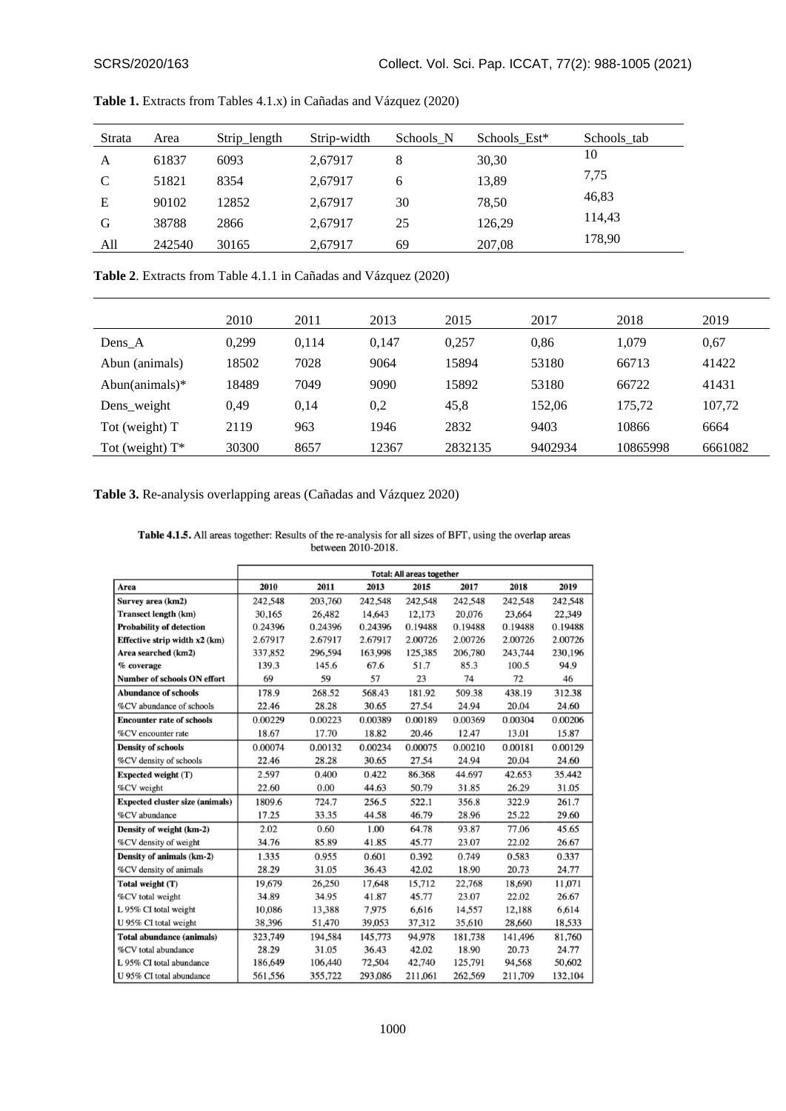| Strata | Area   | Strip_length | Strip-width | Schools N | Schools Est* | Schools tab |
|--------|--------|--------------|-------------|-----------|--------------|-------------|
| A      | 61837  | 6093         | 2,67917     | 8         | 30,30        | 10          |
| C      | 51821  | 8354         | 2,67917     | 6         | 13,89        | 7,75        |
| Е      | 90102  | 12852        | 2,67917     | 30        | 78,50        | 46,83       |
| G      | 38788  | 2866         | 2.67917     | 25        | 126,29       | 114,43      |
| All    | 242540 | 30165        | 2,67917     | 69        | 207,08       | 178,90      |

**Table 1.** Extracts from Tables 4.1.x) in Cañadas and Vázquez (2020)

**Table 2**. Extracts from Table 4.1.1 in Cañadas and Vázquez (2020)

|                    | 2010  | 2011  | 2013  | 2015    | 2017    | 2018     | 2019    |
|--------------------|-------|-------|-------|---------|---------|----------|---------|
| Dens A             | 0.299 | 0,114 | 0.147 | 0.257   | 0.86    | 1,079    | 0.67    |
| Abun (animals)     | 18502 | 7028  | 9064  | 15894   | 53180   | 66713    | 41422   |
| Abun(animals) $*$  | 18489 | 7049  | 9090  | 15892   | 53180   | 66722    | 41431   |
| Dens_weight        | 0.49  | 0.14  | 0,2   | 45,8    | 152.06  | 175,72   | 107,72  |
| Tot (weight) T     | 2119  | 963   | 1946  | 2832    | 9403    | 10866    | 6664    |
| Tot (weight) $T^*$ | 30300 | 8657  | 12367 | 2832135 | 9402934 | 10865998 | 6661082 |

**Table 3.** Re-analysis overlapping areas (Cañadas and Vázquez 2020)

Table 4.1.5. All areas together: Results of the re-analysis for all sizes of BFT, using the overlap areas between 2010-2018.

|                                        | <b>Total: All areas together</b> |         |         |         |         |         |         |
|----------------------------------------|----------------------------------|---------|---------|---------|---------|---------|---------|
| Area                                   | 2010                             | 2011    | 2013    | 2015    | 2017    | 2018    | 2019    |
| Survey area (km2)                      | 242,548                          | 203,760 | 242,548 | 242,548 | 242,548 | 242,548 | 242,548 |
| <b>Transect length (km)</b>            | 30.165                           | 26,482  | 14,643  | 12,173  | 20,076  | 23,664  | 22,349  |
| <b>Probability of detection</b>        | 0.24396                          | 0.24396 | 0.24396 | 0.19488 | 0.19488 | 0.19488 | 0.19488 |
| Effective strip width x2 (km)          | 2.67917                          | 2.67917 | 2.67917 | 2.00726 | 2.00726 | 2.00726 | 2.00726 |
| Area searched (km2)                    | 337,852                          | 296,594 | 163,998 | 125,385 | 206,780 | 243,744 | 230,196 |
| % coverage                             | 139.3                            | 145.6   | 67.6    | 51.7    | 85.3    | 100.5   | 94.9    |
| <b>Number of schools ON effort</b>     | 69                               | 59      | 57      | 23      | 74      | 72      | 46      |
| <b>Abundance of schools</b>            | 178.9                            | 268.52  | 568.43  | 181.92  | 509.38  | 438.19  | 312.38  |
| %CV abundance of schools               | 22.46                            | 28.28   | 30.65   | 27.54   | 24.94   | 20.04   | 24.60   |
| <b>Encounter rate of schools</b>       | 0.00229                          | 0.00223 | 0.00389 | 0.00189 | 0.00369 | 0.00304 | 0.00206 |
| %CV encounter rate                     | 18.67                            | 17.70   | 18.82   | 20.46   | 12.47   | 13.01   | 15.87   |
| <b>Density of schools</b>              | 0.00074                          | 0.00132 | 0.00234 | 0.00075 | 0.00210 | 0.00181 | 0.00129 |
| %CV density of schools                 | 22.46                            | 28.28   | 30.65   | 27.54   | 24.94   | 20.04   | 24.60   |
| Expected weight (T)                    | 2.597                            | 0.400   | 0.422   | 86.368  | 44.697  | 42.653  | 35.442  |
| %CV weight                             | 22.60                            | 0.00    | 44.63   | 50.79   | 31.85   | 26.29   | 31.05   |
| <b>Expected cluster size (animals)</b> | 1809.6                           | 724.7   | 256.5   | 522.1   | 356.8   | 322.9   | 261.7   |
| %CV abundance                          | 17.25                            | 33.35   | 44.58   | 46.79   | 28.96   | 25.22   | 29.60   |
| Density of weight (km-2)               | 2.02                             | 0.60    | 1.00    | 64.78   | 93.87   | 77.06   | 45.65   |
| %CV density of weight                  | 34.76                            | 85.89   | 41.85   | 45.77   | 23.07   | 22.02   | 26.67   |
| Density of animals (km-2)              | 1.335                            | 0.955   | 0.601   | 0.392   | 0.749   | 0.583   | 0.337   |
| %CV density of animals                 | 28.29                            | 31.05   | 36.43   | 42.02   | 18.90   | 20.73   | 24.77   |
| Total weight (T)                       | 19,679                           | 26,250  | 17,648  | 15,712  | 22,768  | 18,690  | 11,071  |
| %CV total weight                       | 34.89                            | 34.95   | 41.87   | 45.77   | 23.07   | 22.02   | 26.67   |
| L 95% CI total weight                  | 10.086                           | 13,388  | 7.975   | 6,616   | 14,557  | 12,188  | 6,614   |
| U 95% CI total weight                  | 38.396                           | 51,470  | 39,053  | 37,312  | 35,610  | 28,660  | 18,533  |
| <b>Total abundance (animals)</b>       | 323,749                          | 194,584 | 145,773 | 94,978  | 181,738 | 141,496 | 81,760  |
| %CV total abundance                    | 28.29                            | 31.05   | 36.43   | 42.02   | 18.90   | 20.73   | 24.77   |
| L 95% CI total abundance               | 186,649                          | 106,440 | 72,504  | 42,740  | 125,791 | 94,568  | 50,602  |
| U 95% CI total abundance               | 561,556                          | 355,722 | 293,086 | 211,061 | 262,569 | 211,709 | 132,104 |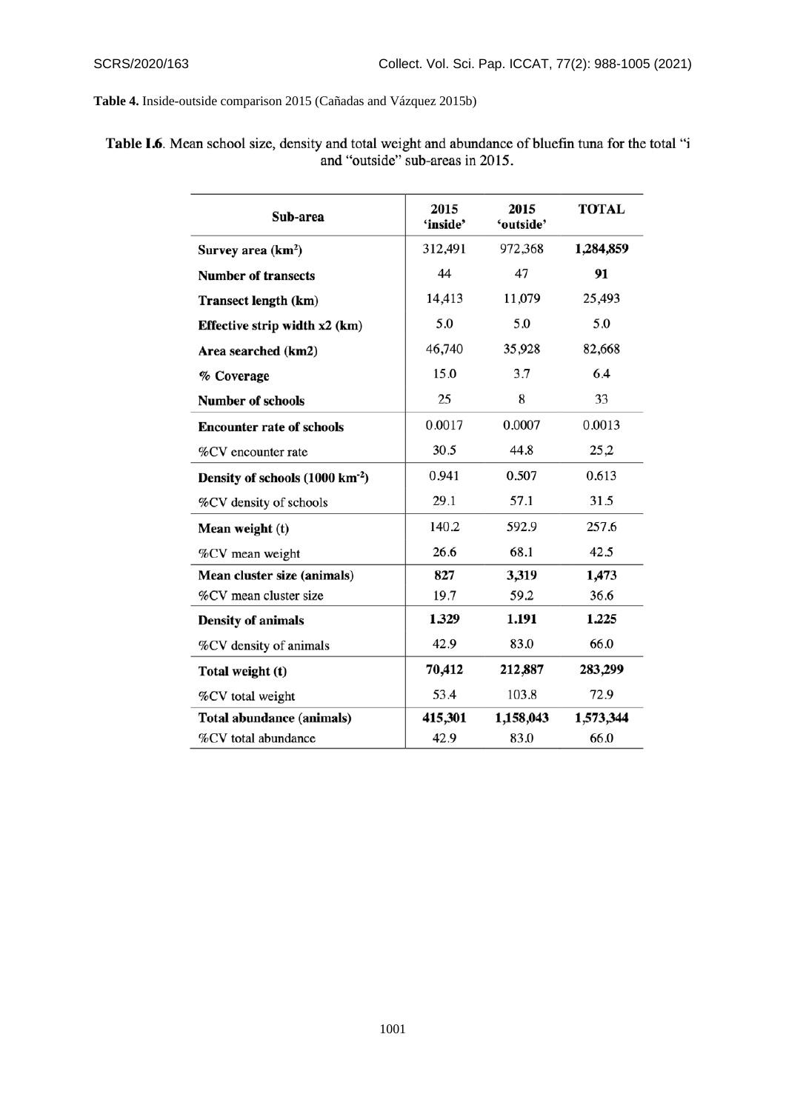**Table 4.** Inside-outside comparison 2015 (Cañadas and Vázquez 2015b)

| Sub-area                                    | 2015<br>'inside' | 2015<br>'outside' | <b>TOTAL</b> |
|---------------------------------------------|------------------|-------------------|--------------|
| Survey area $(km^2)$                        | 312,491          | 972,368           | 1,284,859    |
| <b>Number of transects</b>                  | 44               | 47                | 91           |
| <b>Transect length (km)</b>                 | 14,413           | 11,079            | 25,493       |
| Effective strip width x2 (km)               | 5.0              | 5.0               | 5.0          |
| Area searched (km2)                         | 46,740           | 35,928            | 82,668       |
| % Coverage                                  | 15.0             | 3.7               | 6.4          |
| Number of schools                           | 25               | 8                 | 33           |
| <b>Encounter rate of schools</b>            | 0.0017           | 0.0007            | 0.0013       |
| %CV encounter rate                          | 30.5             | 44.8              | 25,2         |
| Density of schools (1000 km <sup>-2</sup> ) | 0.941            | 0.507             | 0.613        |
| %CV density of schools                      | 29.1             | 57.1              | 31.5         |
| Mean weight (t)                             | 140.2            | 592.9             | 257.6        |
| %CV mean weight                             | 26.6             | 68.1              | 42.5         |
| Mean cluster size (animals)                 | 827              | 3,319             | 1,473        |
| %CV mean cluster size                       | 19.7             | 59.2              | 36.6         |
| Density of animals                          | 1.329            | 1.191             | 1.225        |
| %CV density of animals                      | 42.9             | 83.0              | 66.0         |
| Total weight (t)                            | 70,412           | 212,887           | 283,299      |
| %CV total weight                            | 53.4             | 103.8             | 72.9         |
| Total abundance (animals)                   | 415,301          | 1,158,043         | 1,573,344    |
| %CV total abundance                         | 42.9             | 83.0              | 66.0         |

Table I.6. Mean school size, density and total weight and abundance of bluefin tuna for the total "i and "outside" sub-areas in 2015.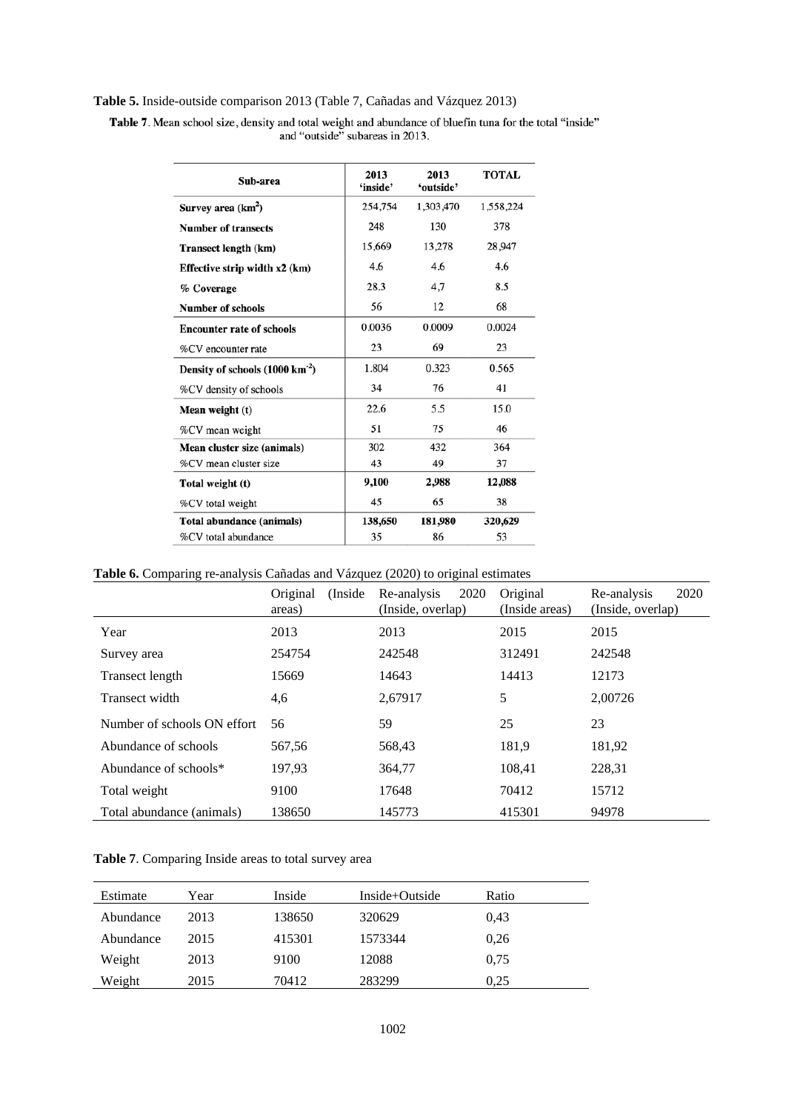# **Table 5.** Inside-outside comparison 2013 (Table 7, Cañadas and Vázquez 2013)

Table 7. Mean school size, density and total weight and abundance of bluefin tuna for the total "inside" and "outside" subareas in 2013.

| Sub-area                                    | 2013<br>'inside' | 2013<br>'outside' | <b>TOTAL</b> |
|---------------------------------------------|------------------|-------------------|--------------|
| Survey area (km <sup>2</sup> )              | 254,754          | 1,303,470         | 1,558,224    |
| <b>Number of transects</b>                  | 248              | 130               | 378          |
| Transect length (km)                        | 15,669           | 13,278            | 28,947       |
| Effective strip width x2 (km)               | 4.6              | 4.6               | 4.6          |
| % Coverage                                  | 28.3             | 4.7               | 8.5          |
| <b>Number of schools</b>                    | 56               | 12                | 68           |
| <b>Encounter rate of schools</b>            | 0.0036           | 0.0009            | 0.0024       |
| %CV encounter rate                          | 23               | 69                | 23           |
| Density of schools (1000 km <sup>-2</sup> ) | 1.804            | 0.323             | 0.565        |
| %CV density of schools                      | 34               | 76                | 41           |
| Mean weight (t)                             | 22.6             | 5.5               | 15.0         |
| %CV mean weight                             | 51               | 75                | 46           |
| Mean cluster size (animals)                 | 302              | 432               | 364          |
| %CV mean cluster size                       | 43               | 49                | 37           |
| Total weight (t)                            | 9,100            | 2.988             | 12,088       |
| %CV total weight                            | 45               | 65                | 38           |
| Total abundance (animals)                   | 138,650          | 181,980           | 320,629      |
| %CV total abundance                         | 35               | 86                | 53           |

**Table 6.** Comparing re-analysis Cañadas and Vázquez (2020) to original estimates

|                             | Original<br>(Inside)<br>areas) | 2020<br>Re-analysis<br>(Inside, overlap) | Original<br>(Inside areas) | 2020<br>Re-analysis<br>(Inside, overlap) |
|-----------------------------|--------------------------------|------------------------------------------|----------------------------|------------------------------------------|
| Year                        | 2013                           | 2013                                     | 2015                       | 2015                                     |
| Survey area                 | 254754                         | 242548                                   | 312491                     | 242548                                   |
| Transect length             | 15669                          | 14643                                    | 14413                      | 12173                                    |
| Transect width              | 4,6                            | 2,67917                                  | 5                          | 2,00726                                  |
| Number of schools ON effort | 56                             | 59                                       | 25                         | 23                                       |
| Abundance of schools        | 567,56                         | 568,43                                   | 181,9                      | 181,92                                   |
| Abundance of schools*       | 197,93                         | 364,77                                   | 108,41                     | 228,31                                   |
| Total weight                | 9100                           | 17648                                    | 70412                      | 15712                                    |
| Total abundance (animals)   | 138650                         | 145773                                   | 415301                     | 94978                                    |

|  |  | Table 7. Comparing Inside areas to total survey area |  |  |  |
|--|--|------------------------------------------------------|--|--|--|
|--|--|------------------------------------------------------|--|--|--|

| Estimate  | Year | Inside | Inside+Outside | Ratio |  |
|-----------|------|--------|----------------|-------|--|
| Abundance | 2013 | 138650 | 320629         | 0.43  |  |
| Abundance | 2015 | 415301 | 1573344        | 0,26  |  |
| Weight    | 2013 | 9100   | 12088          | 0.75  |  |
| Weight    | 2015 | 70412  | 283299         | 0.25  |  |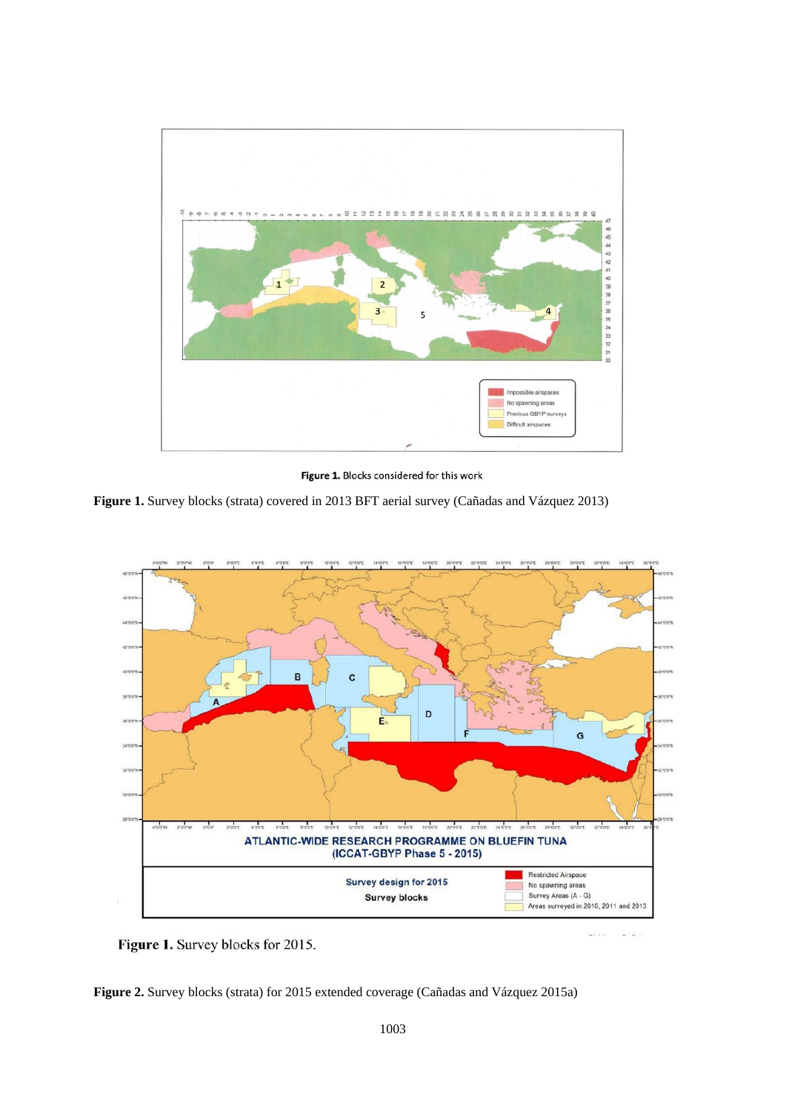

Figure 1. Blocks considered for this work

**Figure 1.** Survey blocks (strata) covered in 2013 BFT aerial survey (Cañadas and Vázquez 2013)



Figure 1. Survey blocks for 2015.

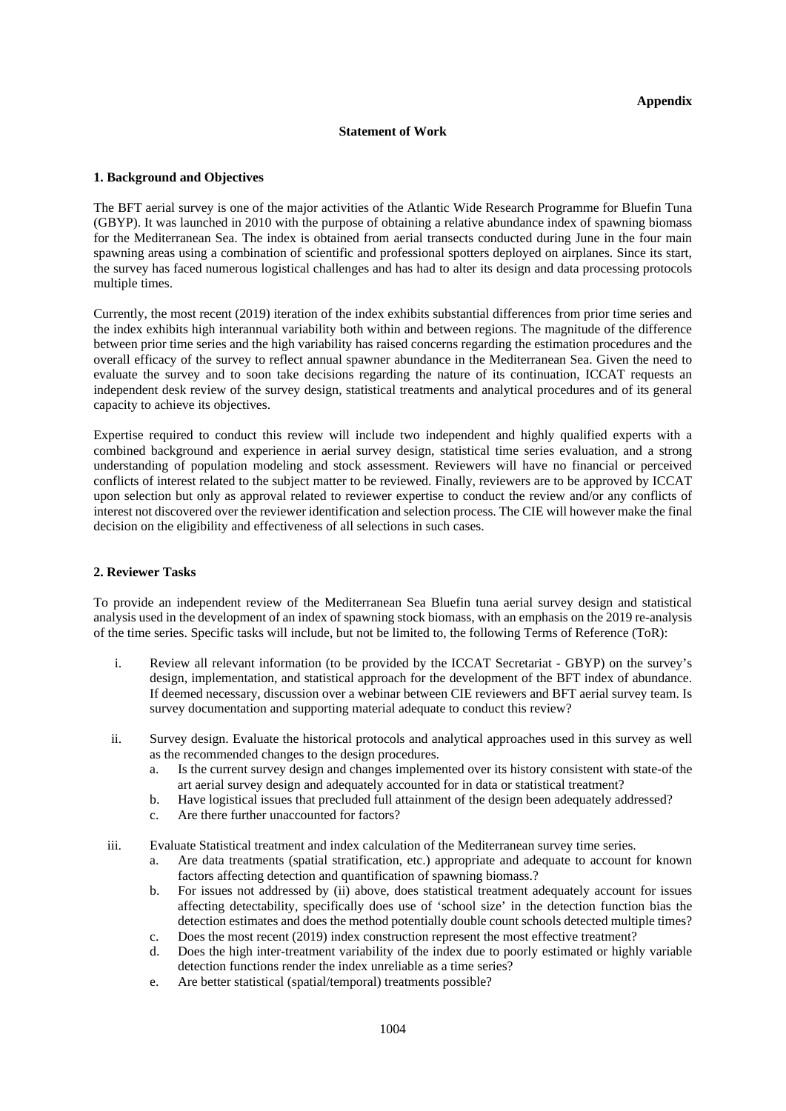### **Statement of Work**

### **1. Background and Objectives**

The BFT aerial survey is one of the major activities of the Atlantic Wide Research Programme for Bluefin Tuna (GBYP). It was launched in 2010 with the purpose of obtaining a relative abundance index of spawning biomass for the Mediterranean Sea. The index is obtained from aerial transects conducted during June in the four main spawning areas using a combination of scientific and professional spotters deployed on airplanes. Since its start, the survey has faced numerous logistical challenges and has had to alter its design and data processing protocols multiple times.

Currently, the most recent (2019) iteration of the index exhibits substantial differences from prior time series and the index exhibits high interannual variability both within and between regions. The magnitude of the difference between prior time series and the high variability has raised concerns regarding the estimation procedures and the overall efficacy of the survey to reflect annual spawner abundance in the Mediterranean Sea. Given the need to evaluate the survey and to soon take decisions regarding the nature of its continuation, ICCAT requests an independent desk review of the survey design, statistical treatments and analytical procedures and of its general capacity to achieve its objectives.

Expertise required to conduct this review will include two independent and highly qualified experts with a combined background and experience in aerial survey design, statistical time series evaluation, and a strong understanding of population modeling and stock assessment. Reviewers will have no financial or perceived conflicts of interest related to the subject matter to be reviewed. Finally, reviewers are to be approved by ICCAT upon selection but only as approval related to reviewer expertise to conduct the review and/or any conflicts of interest not discovered over the reviewer identification and selection process. The CIE will however make the final decision on the eligibility and effectiveness of all selections in such cases.

### **2. Reviewer Tasks**

To provide an independent review of the Mediterranean Sea Bluefin tuna aerial survey design and statistical analysis used in the development of an index of spawning stock biomass, with an emphasis on the 2019 re-analysis of the time series. Specific tasks will include, but not be limited to, the following Terms of Reference (ToR):

- i. Review all relevant information (to be provided by the ICCAT Secretariat GBYP) on the survey's design, implementation, and statistical approach for the development of the BFT index of abundance. If deemed necessary, discussion over a webinar between CIE reviewers and BFT aerial survey team. Is survey documentation and supporting material adequate to conduct this review?
- ii. Survey design. Evaluate the historical protocols and analytical approaches used in this survey as well as the recommended changes to the design procedures.
	- a. Is the current survey design and changes implemented over its history consistent with state-of the art aerial survey design and adequately accounted for in data or statistical treatment?
	- b. Have logistical issues that precluded full attainment of the design been adequately addressed?
	- c. Are there further unaccounted for factors?
- iii. Evaluate Statistical treatment and index calculation of the Mediterranean survey time series.
	- a. Are data treatments (spatial stratification, etc.) appropriate and adequate to account for known factors affecting detection and quantification of spawning biomass.?
	- b. For issues not addressed by (ii) above, does statistical treatment adequately account for issues affecting detectability, specifically does use of 'school size' in the detection function bias the detection estimates and does the method potentially double count schools detected multiple times?
	- c. Does the most recent (2019) index construction represent the most effective treatment?
	- d. Does the high inter-treatment variability of the index due to poorly estimated or highly variable detection functions render the index unreliable as a time series?
	- e. Are better statistical (spatial/temporal) treatments possible?